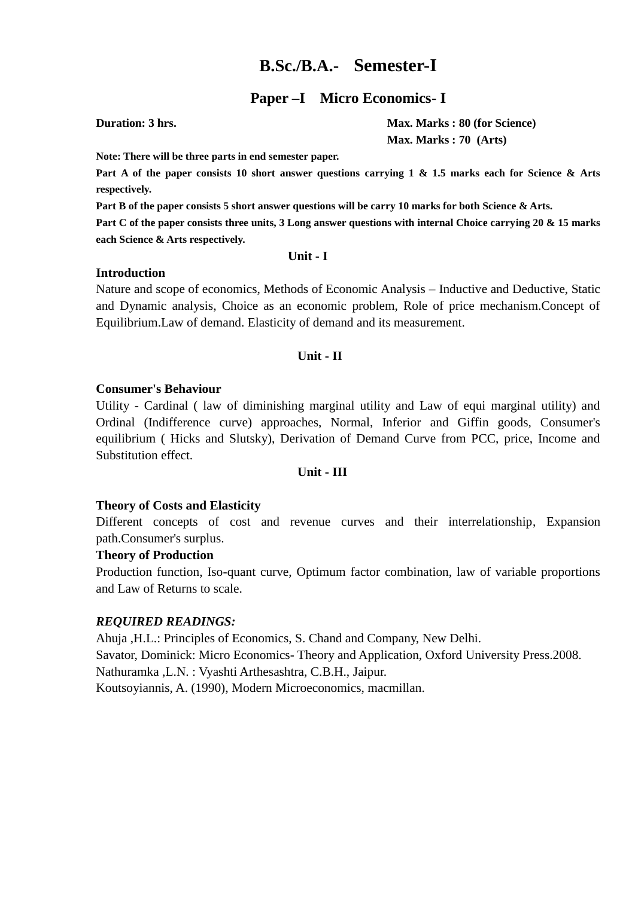## **B.Sc./B.A.- Semester-I**

### **Paper –I Micro Economics- I**

**Duration: 3 hrs. Max. Marks : 80 (for Science) Max. Marks : 80 (for Science) Max. Marks : 70 (Arts)**

**Note: There will be three parts in end semester paper.** 

**Part A of the paper consists 10 short answer questions carrying 1 & 1.5 marks each for Science & Arts respectively.** 

**Part B of the paper consists 5 short answer questions will be carry 10 marks for both Science & Arts.**

Part C of the paper consists three units, 3 Long answer questions with internal Choice carrying 20 & 15 marks **each Science & Arts respectively.**

### **Unit - I**

### **Introduction**

Nature and scope of economics, Methods of Economic Analysis – Inductive and Deductive, Static and Dynamic analysis, Choice as an economic problem, Role of price mechanism.Concept of Equilibrium.Law of demand. Elasticity of demand and its measurement.

### **Unit - II**

### **Consumer's Behaviour**

Utility - Cardinal ( law of diminishing marginal utility and Law of equi marginal utility) and Ordinal (Indifference curve) approaches, Normal, Inferior and Giffin goods, Consumer's equilibrium ( Hicks and Slutsky), Derivation of Demand Curve from PCC, price, Income and Substitution effect.

### **Unit - III**

### **Theory of Costs and Elasticity**

Different concepts of cost and revenue curves and their interrelationship, Expansion path.Consumer's surplus.

### **Theory of Production**

Production function, Iso-quant curve, Optimum factor combination, law of variable proportions and Law of Returns to scale.

### *REQUIRED READINGS:*

Ahuja ,H.L.: Principles of Economics, S. Chand and Company, New Delhi. Savator, Dominick: Micro Economics- Theory and Application, Oxford University Press.2008. Nathuramka ,L.N. : Vyashti Arthesashtra, C.B.H., Jaipur. Koutsoyiannis, A. (1990), Modern Microeconomics, macmillan.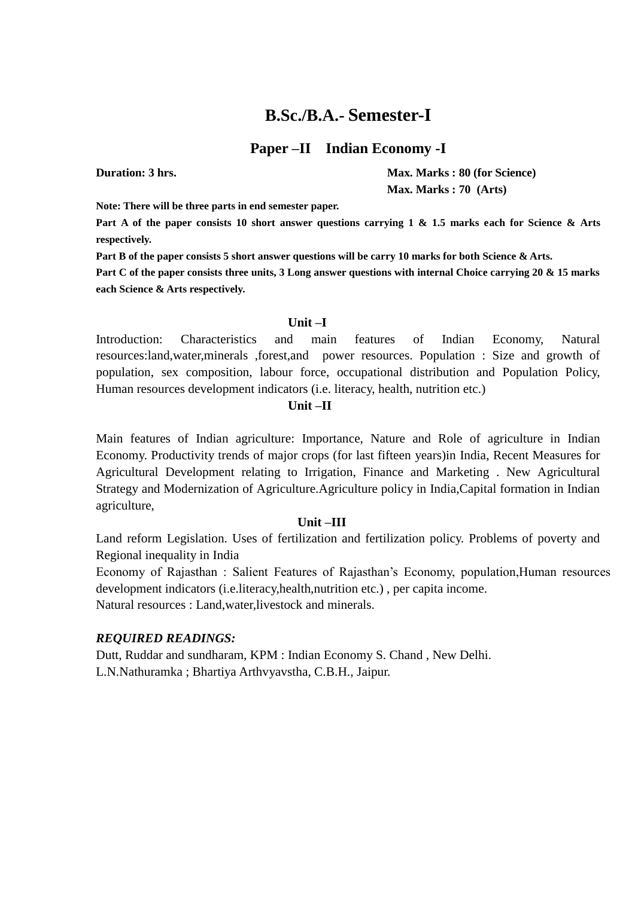# **B.Sc./B.A.- Semester-I**

### **Paper –II Indian Economy -I**

**Duration: 3 hrs. Max. Marks : 80 (for Science) Max. Marks : 70 (Arts)**

**Note: There will be three parts in end semester paper.** 

Part A of the paper consists 10 short answer questions carrying 1 & 1.5 marks each for Science & Arts **respectively.** 

**Part B of the paper consists 5 short answer questions will be carry 10 marks for both Science & Arts.**

**Part C of the paper consists three units, 3 Long answer questions with internal Choice carrying 20 & 15 marks each Science & Arts respectively.**

### **Unit –I**

Introduction: Characteristics and main features of Indian Economy, Natural resources:land,water,minerals ,forest,and power resources. Population : Size and growth of population, sex composition, labour force, occupational distribution and Population Policy, Human resources development indicators (i.e. literacy, health, nutrition etc.)

### **Unit –II**

Main features of Indian agriculture: Importance, Nature and Role of agriculture in Indian Economy. Productivity trends of major crops (for last fifteen years)in India, Recent Measures for Agricultural Development relating to Irrigation, Finance and Marketing . New Agricultural Strategy and Modernization of Agriculture.Agriculture policy in India,Capital formation in Indian agriculture,

### **Unit –III**

Land reform Legislation. Uses of fertilization and fertilization policy. Problems of poverty and Regional inequality in India

Economy of Rajasthan : Salient Features of Rajasthan's Economy, population,Human resources development indicators (i.e.literacy,health,nutrition etc.) , per capita income.

Natural resources : Land,water,livestock and minerals.

### *REQUIRED READINGS:*

Dutt, Ruddar and sundharam, KPM : Indian Economy S. Chand , New Delhi. L.N.Nathuramka ; Bhartiya Arthvyavstha, C.B.H., Jaipur.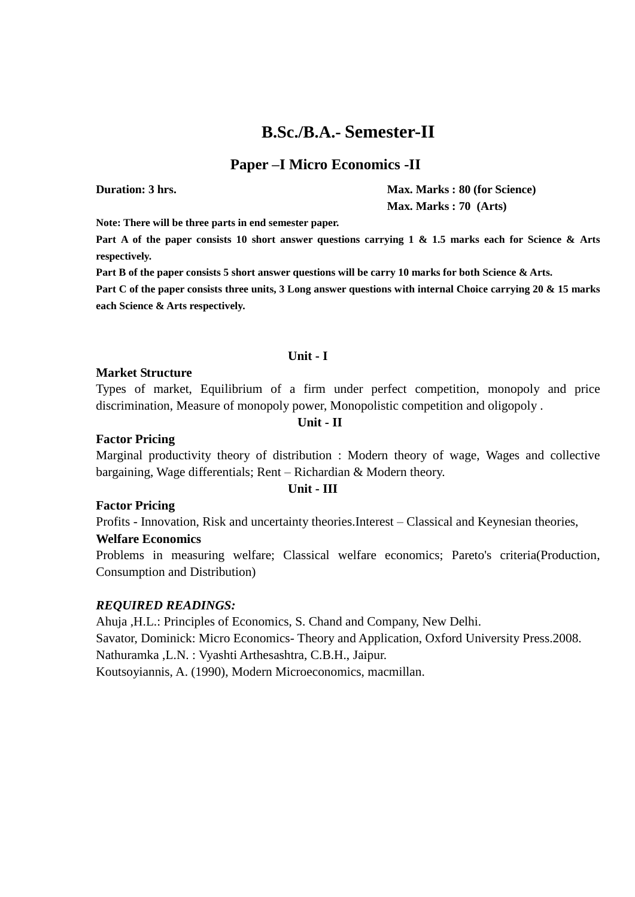# **B.Sc./B.A.- Semester-II**

### **Paper –I Micro Economics -II**

**Duration: 3 hrs. Max. Marks : 80 (for Science) Max. Marks : 70 (Arts)**

**Note: There will be three parts in end semester paper.** 

**Part A of the paper consists 10 short answer questions carrying 1 & 1.5 marks each for Science & Arts respectively.** 

**Part B of the paper consists 5 short answer questions will be carry 10 marks for both Science & Arts.**

**Part C of the paper consists three units, 3 Long answer questions with internal Choice carrying 20 & 15 marks each Science & Arts respectively.**

### **Unit - I**

### **Market Structure**

Types of market, Equilibrium of a firm under perfect competition, monopoly and price discrimination, Measure of monopoly power, Monopolistic competition and oligopoly .

### **Unit - II**

### **Factor Pricing**

Marginal productivity theory of distribution : Modern theory of wage, Wages and collective bargaining, Wage differentials; Rent – Richardian & Modern theory.

#### **Unit - III**

#### **Factor Pricing**

Profits - Innovation, Risk and uncertainty theories.Interest – Classical and Keynesian theories, **Welfare Economics**

Problems in measuring welfare; Classical welfare economics; Pareto's criteria(Production, Consumption and Distribution)

### *REQUIRED READINGS:*

Ahuja ,H.L.: Principles of Economics, S. Chand and Company, New Delhi. Savator, Dominick: Micro Economics- Theory and Application, Oxford University Press.2008. Nathuramka ,L.N. : Vyashti Arthesashtra, C.B.H., Jaipur. Koutsoyiannis, A. (1990), Modern Microeconomics, macmillan.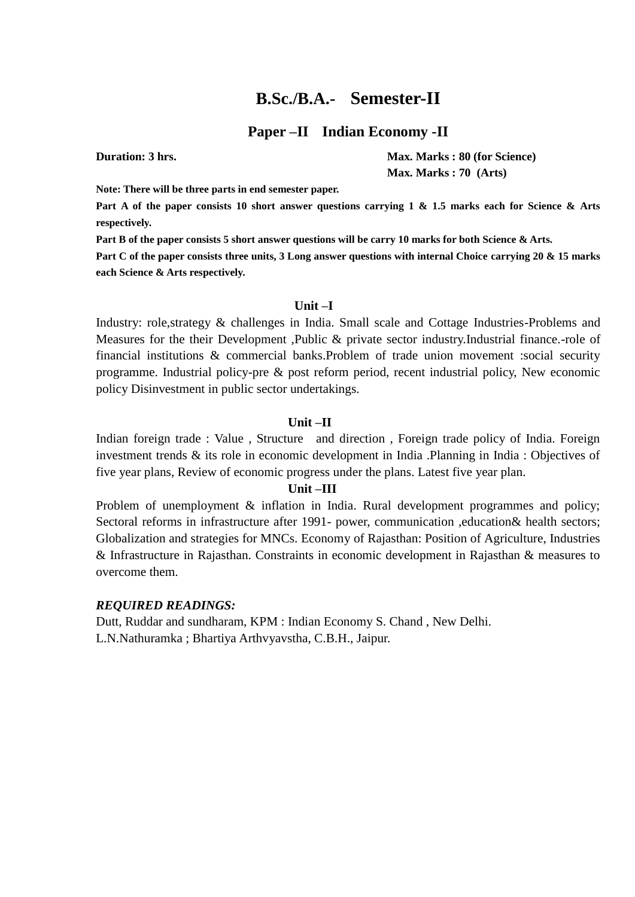# **B.Sc./B.A.- Semester-II**

### **Paper –II Indian Economy -II**

**Duration: 3 hrs. Max. Marks : 80 (for Science) Max. Marks : 70 (Arts)**

**Note: There will be three parts in end semester paper.** 

**Part A of the paper consists 10 short answer questions carrying 1 & 1.5 marks each for Science & Arts respectively.** 

**Part B of the paper consists 5 short answer questions will be carry 10 marks for both Science & Arts.**

**Part C of the paper consists three units, 3 Long answer questions with internal Choice carrying 20 & 15 marks each Science & Arts respectively.**

### **Unit –I**

Industry: role,strategy & challenges in India. Small scale and Cottage Industries-Problems and Measures for the their Development ,Public & private sector industry.Industrial finance.-role of financial institutions & commercial banks.Problem of trade union movement :social security programme. Industrial policy-pre & post reform period, recent industrial policy, New economic policy Disinvestment in public sector undertakings.

### **Unit –II**

Indian foreign trade : Value , Structure and direction , Foreign trade policy of India. Foreign investment trends & its role in economic development in India .Planning in India : Objectives of five year plans, Review of economic progress under the plans. Latest five year plan.

### **Unit –III**

Problem of unemployment  $\&$  inflation in India. Rural development programmes and policy; Sectoral reforms in infrastructure after 1991- power, communication ,education& health sectors; Globalization and strategies for MNCs. Economy of Rajasthan: Position of Agriculture, Industries & Infrastructure in Rajasthan. Constraints in economic development in Rajasthan & measures to overcome them.

### *REQUIRED READINGS:*

Dutt, Ruddar and sundharam, KPM : Indian Economy S. Chand , New Delhi. L.N.Nathuramka ; Bhartiya Arthvyavstha, C.B.H., Jaipur.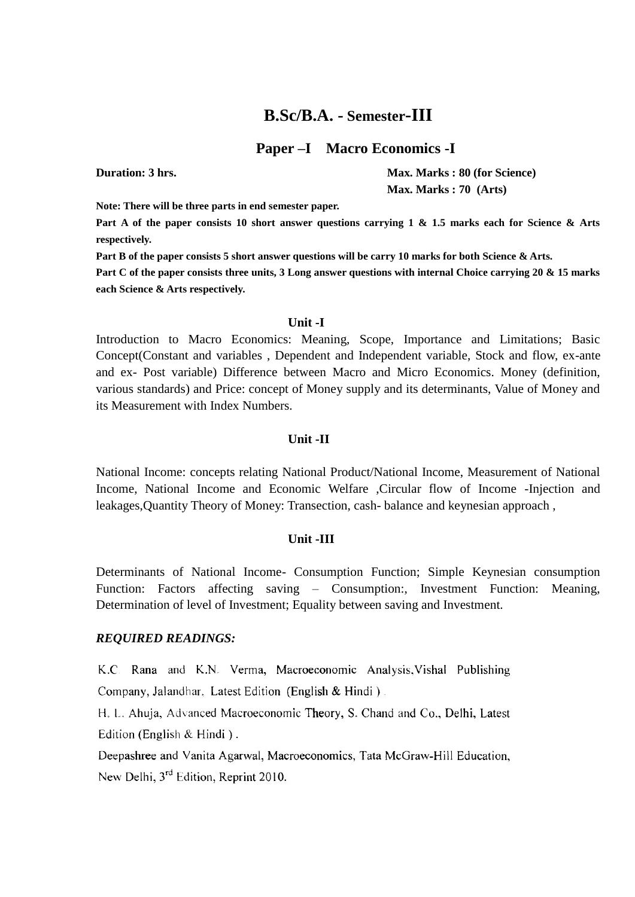# **B.Sc/B.A. - Semester-III**

### **Paper –I Macro Economics -I**

**Duration: 3 hrs. Max. Marks : 80 (for Science) Max. Marks : 70 (Arts)**

**Note: There will be three parts in end semester paper.** 

Part A of the paper consists 10 short answer questions carrying 1 & 1.5 marks each for Science & Arts **respectively.** 

**Part B of the paper consists 5 short answer questions will be carry 10 marks for both Science & Arts.**

**Part C of the paper consists three units, 3 Long answer questions with internal Choice carrying 20 & 15 marks each Science & Arts respectively.**

### **Unit -I**

Introduction to Macro Economics: Meaning, Scope, Importance and Limitations; Basic Concept(Constant and variables , Dependent and Independent variable, Stock and flow, ex-ante and ex- Post variable) Difference between Macro and Micro Economics. Money (definition, various standards) and Price: concept of Money supply and its determinants, Value of Money and its Measurement with Index Numbers.

### **Unit -II**

National Income: concepts relating National Product/National Income, Measurement of National Income, National Income and Economic Welfare ,Circular flow of Income -Injection and leakages,Quantity Theory of Money: Transection, cash- balance and keynesian approach ,

#### **Unit -III**

Determinants of National Income- Consumption Function; Simple Keynesian consumption Function: Factors affecting saving – Consumption:, Investment Function: Meaning, Determination of level of Investment; Equality between saving and Investment.

### *REQUIRED READINGS:*

K.C. Rana and K.N. Verma, Macroeconomic Analysis, Vishal Publishing Company, Jalandhar, Latest Edition (English & Hindi).

H. L. Ahuja, Advanced Macroeconomic Theory, S. Chand and Co., Delhi, Latest Edition (English & Hindi).

Deepashree and Vanita Agarwal, Macroeconomics, Tata McGraw-Hill Education, New Delhi, 3rd Edition, Reprint 2010.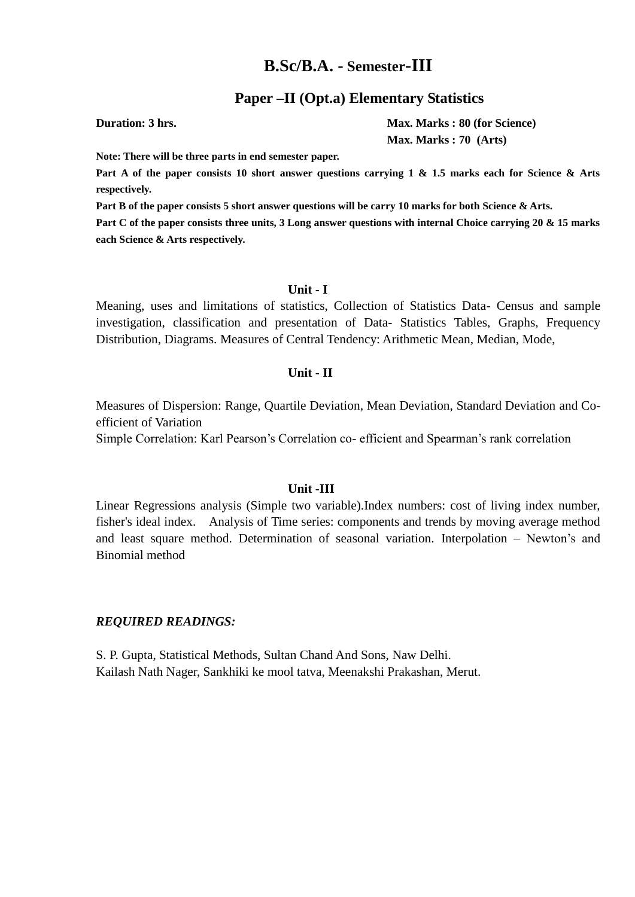## **B.Sc/B.A. - Semester-III**

### **Paper –II (Opt.a) Elementary Statistics**

**Duration: 3 hrs. Max. Marks : 80 (for Science) Max. Marks : 80 (for Science) Max. Marks : 70 (Arts)**

**Note: There will be three parts in end semester paper.** 

Part A of the paper consists 10 short answer questions carrying 1 & 1.5 marks each for Science & Arts **respectively.** 

**Part B of the paper consists 5 short answer questions will be carry 10 marks for both Science & Arts.** Part C of the paper consists three units, 3 Long answer questions with internal Choice carrying 20 & 15 marks **each Science & Arts respectively.**

### **Unit - I**

Meaning, uses and limitations of statistics, Collection of Statistics Data- Census and sample investigation, classification and presentation of Data- Statistics Tables, Graphs, Frequency Distribution, Diagrams. Measures of Central Tendency: Arithmetic Mean, Median, Mode,

### **Unit - II**

Measures of Dispersion: Range, Quartile Deviation, Mean Deviation, Standard Deviation and Coefficient of Variation

Simple Correlation: Karl Pearson's Correlation co- efficient and Spearman's rank correlation

### **Unit -III**

Linear Regressions analysis (Simple two variable).Index numbers: cost of living index number, fisher's ideal index. Analysis of Time series: components and trends by moving average method and least square method. Determination of seasonal variation. Interpolation – Newton's and Binomial method

### *REQUIRED READINGS:*

S. P. Gupta, Statistical Methods, Sultan Chand And Sons, Naw Delhi. Kailash Nath Nager, Sankhiki ke mool tatva, Meenakshi Prakashan, Merut.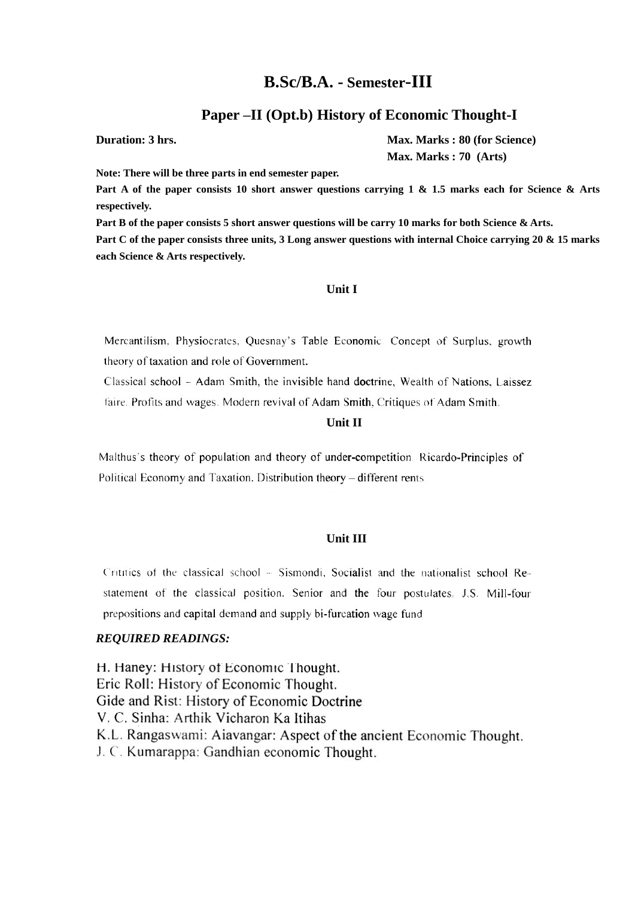### **B.Sc/B.A. - Semester-III**

### **Paper –II (Opt.b) History of Economic Thought-I**

**Duration: 3 hrs. Max. Marks : 80 (for Science) Max. Marks : 80 (for Science) Max. Marks : 70 (Arts)**

**Note: There will be three parts in end semester paper.** 

Part A of the paper consists 10 short answer questions carrying 1 & 1.5 marks each for Science & Arts **respectively.** 

**Part B of the paper consists 5 short answer questions will be carry 10 marks for both Science & Arts. Part C of the paper consists three units, 3 Long answer questions with internal Choice carrying 20 & 15 marks each Science & Arts respectively.**

### **Unit I**

Mercantilism, Physiocrates, Quesnay's Table Economic. Concept of Surplus, growth theory of taxation and role of Government.

Classical school - Adam Smith, the invisible hand doctrine, Wealth of Nations, Laissez faire. Profits and wages. Modern revival of Adam Smith, Critiques of Adam Smith.

### **Unit II**

Malthus's theory of population and theory of under-competition. Ricardo-Principles of Political Economy and Taxation. Distribution theory - different rents

#### **Unit III**

Critities of the classical school - Sismondi, Socialist and the nationalist school Restatement of the classical position. Senior and the four postulates. J.S. Mill-four prepositions and capital demand and supply bi-furcation wage fund

#### *REQUIRED READINGS:*

H. Haney: History of Economic Thought. Eric Roll: History of Economic Thought. Gide and Rist: History of Economic Doctrine V. C. Sinha: Arthik Vicharon Ka Itihas K.L. Rangaswami: Aiavangar: Aspect of the ancient Economic Thought. J. C. Kumarappa: Gandhian economic Thought.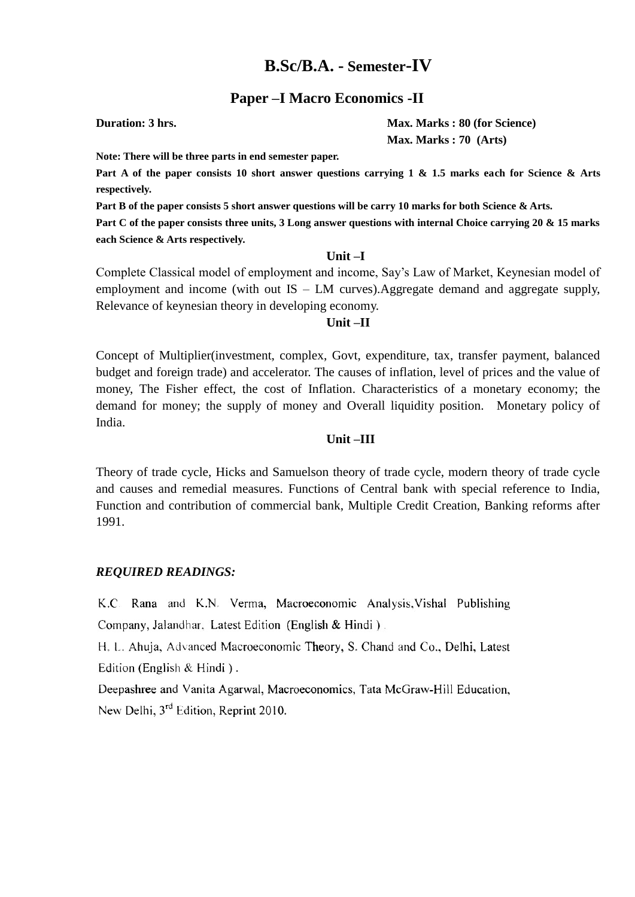## **B.Sc/B.A. - Semester-IV**

### **Paper –I Macro Economics -II**

**Duration: 3 hrs. Max. Marks : 80 (for Science) Max. Marks : 80 (for Science) Max. Marks : 70 (Arts)**

**Note: There will be three parts in end semester paper.** 

**Part A of the paper consists 10 short answer questions carrying 1 & 1.5 marks each for Science & Arts respectively.** 

**Part B of the paper consists 5 short answer questions will be carry 10 marks for both Science & Arts.** Part C of the paper consists three units, 3 Long answer questions with internal Choice carrying 20 & 15 marks **each Science & Arts respectively.**

### **Unit –I**

Complete Classical model of employment and income, Say's Law of Market, Keynesian model of employment and income (with out IS – LM curves).Aggregate demand and aggregate supply, Relevance of keynesian theory in developing economy.

### **Unit –II**

Concept of Multiplier(investment, complex, Govt, expenditure, tax, transfer payment, balanced budget and foreign trade) and accelerator. The causes of inflation, level of prices and the value of money, The Fisher effect, the cost of Inflation. Characteristics of a monetary economy; the demand for money; the supply of money and Overall liquidity position. Monetary policy of India.

### **Unit –III**

Theory of trade cycle, Hicks and Samuelson theory of trade cycle, modern theory of trade cycle and causes and remedial measures. Functions of Central bank with special reference to India, Function and contribution of commercial bank, Multiple Credit Creation, Banking reforms after 1991.

### *REQUIRED READINGS:*

K.C. Rana and K.N. Verma, Macroeconomic Analysis, Vishal Publishing Company, Jalandhar, Latest Edition (English & Hindi).

H. L. Ahuja, Advanced Macroeconomic Theory, S. Chand and Co., Delhi, Latest Edition (English & Hindi).

Deepashree and Vanita Agarwal, Macroeconomics, Tata McGraw-Hill Education, New Delhi, 3<sup>rd</sup> Edition, Reprint 2010.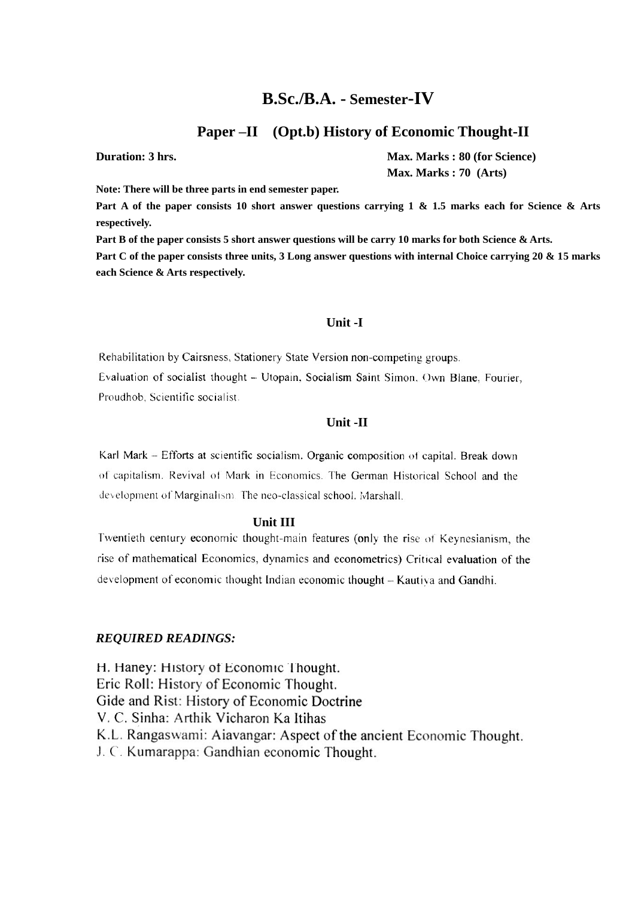## **B.Sc./B.A. - Semester-IV**

### **Paper –II (Opt.b) History of Economic Thought-II**

**Duration: 3 hrs. Max. Marks : 80 (for Science) Max. Marks : 70 (Arts)**

**Note: There will be three parts in end semester paper.** 

**Part A of the paper consists 10 short answer questions carrying 1 & 1.5 marks each for Science & Arts respectively.** 

**Part B of the paper consists 5 short answer questions will be carry 10 marks for both Science & Arts. Part C of the paper consists three units, 3 Long answer questions with internal Choice carrying 20 & 15 marks each Science & Arts respectively.**

### **Unit -I**

Rehabilitation by Cairsness, Stationery State Version non-competing groups. Evaluation of socialist thought - Utopain, Socialism Saint Simon, Own Blane, Fourier, Proudhob, Scientific socialist.

### **Unit -II**

Karl Mark - Efforts at scientific socialism. Organic composition of capital. Break down of capitalism. Revival of Mark in Economics. The German Historical School and the development of Marginalism. The neo-classical school. Marshall.

#### **Unit III**

Twentieth century economic thought-main features (only the rise of Keynesianism, the rise of mathematical Economics, dynamics and econometrics) Critical evaluation of the development of economic thought Indian economic thought - Kautiva and Gandhi.

### *REQUIRED READINGS:*

H. Haney: History of Economic Thought. Eric Roll: History of Economic Thought. Gide and Rist: History of Economic Doctrine V. C. Sinha: Arthik Vicharon Ka Itihas K.L. Rangaswami: Aiavangar: Aspect of the ancient Economic Thought. J. C. Kumarappa: Gandhian economic Thought.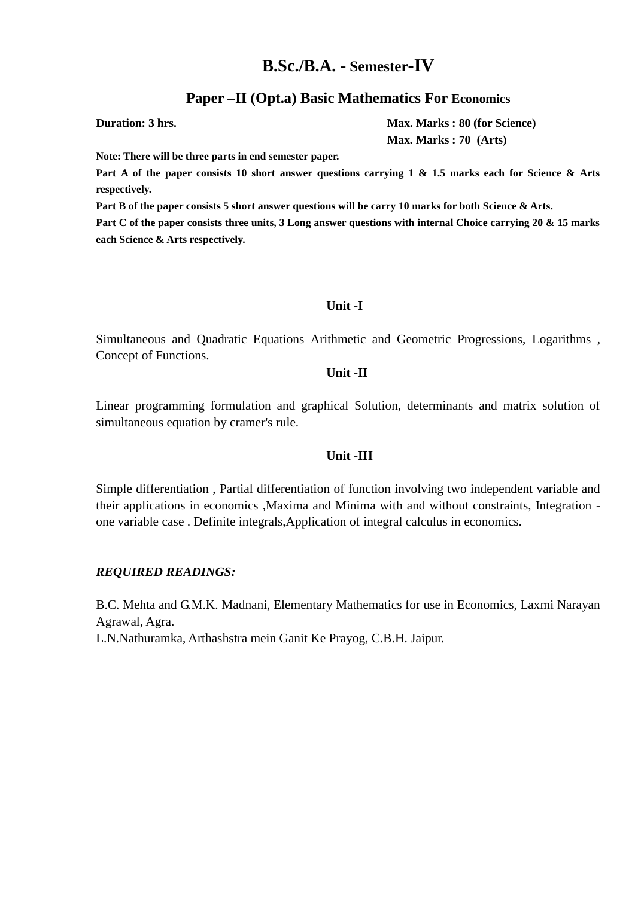## **B.Sc./B.A. - Semester-IV**

### **Paper –II (Opt.a) Basic Mathematics For Economics**

**Duration: 3 hrs. Max. Marks : 80 (for Science) Max. Marks : 80 (for Science) Max. Marks : 70 (Arts)**

**Note: There will be three parts in end semester paper.** 

**Part A of the paper consists 10 short answer questions carrying 1 & 1.5 marks each for Science & Arts respectively.** 

**Part B of the paper consists 5 short answer questions will be carry 10 marks for both Science & Arts.** Part C of the paper consists three units, 3 Long answer questions with internal Choice carrying 20 & 15 marks **each Science & Arts respectively.**

### **Unit -I**

Simultaneous and Quadratic Equations Arithmetic and Geometric Progressions, Logarithms , Concept of Functions.

### **Unit -II**

Linear programming formulation and graphical Solution, determinants and matrix solution of simultaneous equation by cramer's rule.

### **Unit -III**

Simple differentiation , Partial differentiation of function involving two independent variable and their applications in economics ,Maxima and Minima with and without constraints, Integration one variable case . Definite integrals,Application of integral calculus in economics.

### *REQUIRED READINGS:*

B.C. Mehta and G.M.K. Madnani, Elementary Mathematics for use in Economics, Laxmi Narayan Agrawal, Agra.

L.N.Nathuramka, Arthashstra mein Ganit Ke Prayog, C.B.H. Jaipur.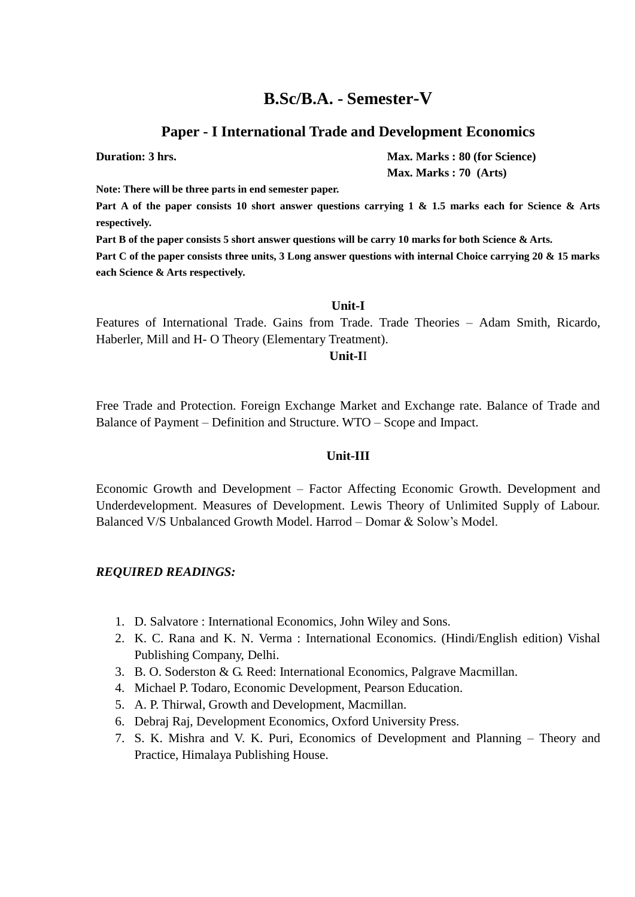# **B.Sc/B.A. - Semester-V**

### **Paper - I International Trade and Development Economics**

**Duration: 3 hrs. Max. Marks : 80 (for Science) Max. Marks : 70 (Arts)**

**Note: There will be three parts in end semester paper.** 

**Part A of the paper consists 10 short answer questions carrying 1 & 1.5 marks each for Science & Arts respectively.** 

**Part B of the paper consists 5 short answer questions will be carry 10 marks for both Science & Arts. Part C of the paper consists three units, 3 Long answer questions with internal Choice carrying 20 & 15 marks each Science & Arts respectively.**

### **Unit-I**

Features of International Trade. Gains from Trade. Trade Theories – Adam Smith, Ricardo, Haberler, Mill and H- O Theory (Elementary Treatment).

### **Unit-I**I

Free Trade and Protection. Foreign Exchange Market and Exchange rate. Balance of Trade and Balance of Payment – Definition and Structure. WTO – Scope and Impact.

### **Unit-III**

Economic Growth and Development – Factor Affecting Economic Growth. Development and Underdevelopment. Measures of Development. Lewis Theory of Unlimited Supply of Labour. Balanced V/S Unbalanced Growth Model. Harrod – Domar & Solow's Model.

- 1. D. Salvatore : International Economics, John Wiley and Sons.
- 2. K. C. Rana and K. N. Verma : International Economics. (Hindi/English edition) Vishal Publishing Company, Delhi.
- 3. B. O. Soderston & G. Reed: International Economics, Palgrave Macmillan.
- 4. Michael P. Todaro, Economic Development, Pearson Education.
- 5. A. P. Thirwal, Growth and Development, Macmillan.
- 6. Debraj Raj, Development Economics, Oxford University Press.
- 7. S. K. Mishra and V. K. Puri, Economics of Development and Planning Theory and Practice, Himalaya Publishing House.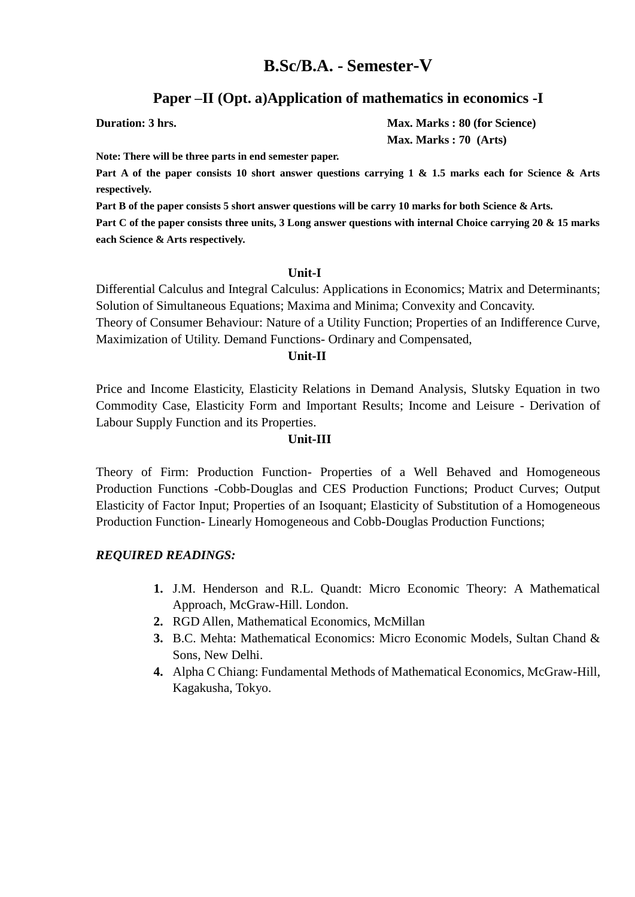## **B.Sc/B.A. - Semester-V**

## **Paper –II (Opt. a)Application of mathematics in economics -I**

**Duration: 3 hrs. Max. Marks : 80 (for Science) Max. Marks : 80 (for Science) Max. Marks : 70 (Arts)**

**Note: There will be three parts in end semester paper.** 

**Part A of the paper consists 10 short answer questions carrying 1 & 1.5 marks each for Science & Arts respectively.** 

**Part B of the paper consists 5 short answer questions will be carry 10 marks for both Science & Arts.** Part C of the paper consists three units, 3 Long answer questions with internal Choice carrying 20 & 15 marks **each Science & Arts respectively.**

### **Unit-I**

Differential Calculus and Integral Calculus: Applications in Economics; Matrix and Determinants; Solution of Simultaneous Equations; Maxima and Minima; Convexity and Concavity. Theory of Consumer Behaviour: Nature of a Utility Function; Properties of an Indifference Curve, Maximization of Utility. Demand Functions- Ordinary and Compensated,

### **Unit-II**

Price and Income Elasticity, Elasticity Relations in Demand Analysis, Slutsky Equation in two Commodity Case, Elasticity Form and Important Results; Income and Leisure - Derivation of Labour Supply Function and its Properties.

### **Unit-III**

Theory of Firm: Production Function- Properties of a Well Behaved and Homogeneous Production Functions -Cobb-Douglas and CES Production Functions; Product Curves; Output Elasticity of Factor Input; Properties of an Isoquant; Elasticity of Substitution of a Homogeneous Production Function- Linearly Homogeneous and Cobb-Douglas Production Functions;

- **1.** J.M. Henderson and R.L. Quandt: Micro Economic Theory: A Mathematical Approach, McGraw-Hill. London.
- **2.** RGD Allen, Mathematical Economics, McMillan
- **3.** B.C. Mehta: Mathematical Economics: Micro Economic Models, Sultan Chand & Sons, New Delhi.
- **4.** Alpha C Chiang: Fundamental Methods of Mathematical Economics, McGraw-Hill, Kagakusha, Tokyo.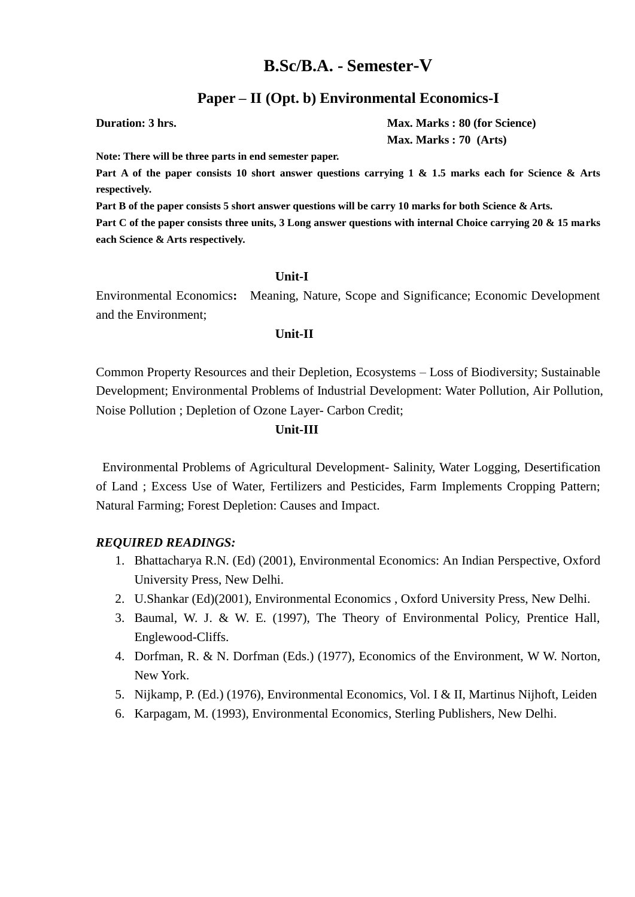## **B.Sc/B.A. - Semester-V**

## **Paper – II (Opt. b) Environmental Economics-I**

**Duration: 3 hrs. Max. Marks : 80 (for Science) Max. Marks : 80 (for Science) Max. Marks : 70 (Arts)**

**Note: There will be three parts in end semester paper.** 

**Part A of the paper consists 10 short answer questions carrying 1 & 1.5 marks each for Science & Arts respectively.** 

**Part B of the paper consists 5 short answer questions will be carry 10 marks for both Science & Arts.** Part C of the paper consists three units, 3 Long answer questions with internal Choice carrying 20 & 15 marks **each Science & Arts respectively.**

### **Unit-I**

Environmental Economics**:** Meaning, Nature, Scope and Significance; Economic Development and the Environment;

### **Unit-II**

Common Property Resources and their Depletion, Ecosystems – Loss of Biodiversity; Sustainable Development; Environmental Problems of Industrial Development: Water Pollution, Air Pollution, Noise Pollution ; Depletion of Ozone Layer- Carbon Credit;

#### **Unit-III**

Environmental Problems of Agricultural Development- Salinity, Water Logging, Desertification of Land ; Excess Use of Water, Fertilizers and Pesticides, Farm Implements Cropping Pattern; Natural Farming; Forest Depletion: Causes and Impact.

- 1. Bhattacharya R.N. (Ed) (2001), Environmental Economics: An Indian Perspective, Oxford University Press, New Delhi.
- 2. U.Shankar (Ed)(2001), Environmental Economics , Oxford University Press, New Delhi.
- 3. Baumal, W. J. & W. E. (1997), The Theory of Environmental Policy, Prentice Hall, Englewood-Cliffs.
- 4. Dorfman, R. & N. Dorfman (Eds.) (1977), Economics of the Environment, W W. Norton, New York.
- 5. Nijkamp, P. (Ed.) (1976), Environmental Economics, Vol. I & II, Martinus Nijhoft, Leiden
- 6. Karpagam, M. (1993), Environmental Economics, Sterling Publishers, New Delhi.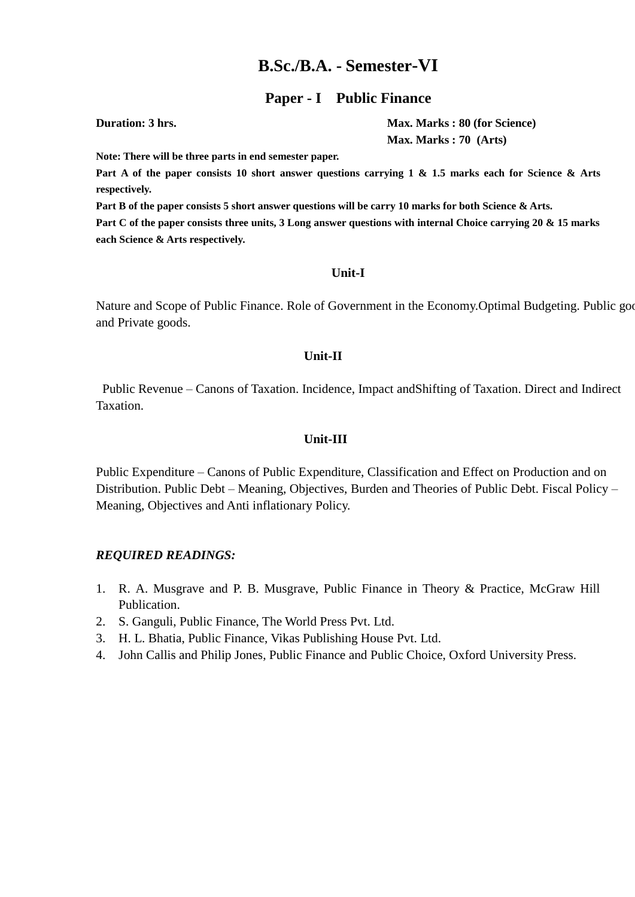## **B.Sc./B.A. - Semester-VI**

### **Paper - I Public Finance**

**Duration: 3 hrs. Max. Marks : 80 (for Science) Max. Marks : 70 (Arts)**

**Note: There will be three parts in end semester paper.** 

**Part A of the paper consists 10 short answer questions carrying 1 & 1.5 marks each for Science & Arts respectively.** 

**Part B of the paper consists 5 short answer questions will be carry 10 marks for both Science & Arts.** Part C of the paper consists three units, 3 Long answer questions with internal Choice carrying 20 & 15 marks **each Science & Arts respectively.**

### **Unit-I**

Nature and Scope of Public Finance. Role of Government in the Economy. Optimal Budgeting. Public good and Private goods.

### **Unit-II**

Public Revenue – Canons of Taxation. Incidence, Impact andShifting of Taxation. Direct and Indirect Taxation.

### **Unit-III**

Public Expenditure – Canons of Public Expenditure, Classification and Effect on Production and on Distribution. Public Debt – Meaning, Objectives, Burden and Theories of Public Debt. Fiscal Policy – Meaning, Objectives and Anti inflationary Policy.

- 1. R. A. Musgrave and P. B. Musgrave, Public Finance in Theory & Practice, McGraw Hill Publication.
- 2. S. Ganguli, Public Finance, The World Press Pvt. Ltd.
- 3. H. L. Bhatia, Public Finance, Vikas Publishing House Pvt. Ltd.
- 4. John Callis and Philip Jones, Public Finance and Public Choice, Oxford University Press.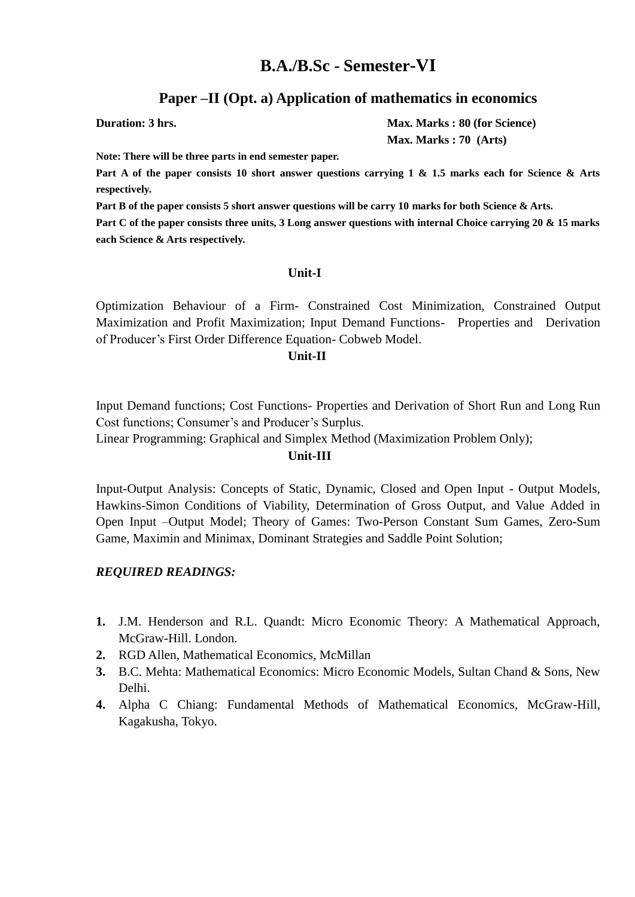## **B.A./B.Sc - Semester-VI**

## **Paper –II (Opt. a) Application of mathematics in economics**

**Duration: 3 hrs. Max. Marks : 80 (for Science) Max. Marks : 80 (for Science) Max. Marks : 70 (Arts)**

**Note: There will be three parts in end semester paper.** 

**Part A of the paper consists 10 short answer questions carrying 1 & 1.5 marks each for Science & Arts respectively.** 

**Part B of the paper consists 5 short answer questions will be carry 10 marks for both Science & Arts.** Part C of the paper consists three units, 3 Long answer questions with internal Choice carrying 20 & 15 marks **each Science & Arts respectively.**

### **Unit-I**

Optimization Behaviour of a Firm- Constrained Cost Minimization, Constrained Output Maximization and Profit Maximization; Input Demand Functions- Properties and Derivation of Producer's First Order Difference Equation- Cobweb Model.

### **Unit-II**

Input Demand functions; Cost Functions- Properties and Derivation of Short Run and Long Run Cost functions; Consumer's and Producer's Surplus.

Linear Programming: Graphical and Simplex Method (Maximization Problem Only);

### **Unit-III**

Input-Output Analysis: Concepts of Static, Dynamic, Closed and Open Input - Output Models, Hawkins-Simon Conditions of Viability, Determination of Gross Output, and Value Added in Open Input –Output Model; Theory of Games: Two-Person Constant Sum Games, Zero-Sum Game, Maximin and Minimax, Dominant Strategies and Saddle Point Solution;

- **1.** J.M. Henderson and R.L. Quandt: Micro Economic Theory: A Mathematical Approach, McGraw-Hill. London.
- **2.** RGD Allen, Mathematical Economics, McMillan
- **3.** B.C. Mehta: Mathematical Economics: Micro Economic Models, Sultan Chand & Sons, New Delhi.
- **4.** Alpha C Chiang: Fundamental Methods of Mathematical Economics, McGraw-Hill, Kagakusha, Tokyo.